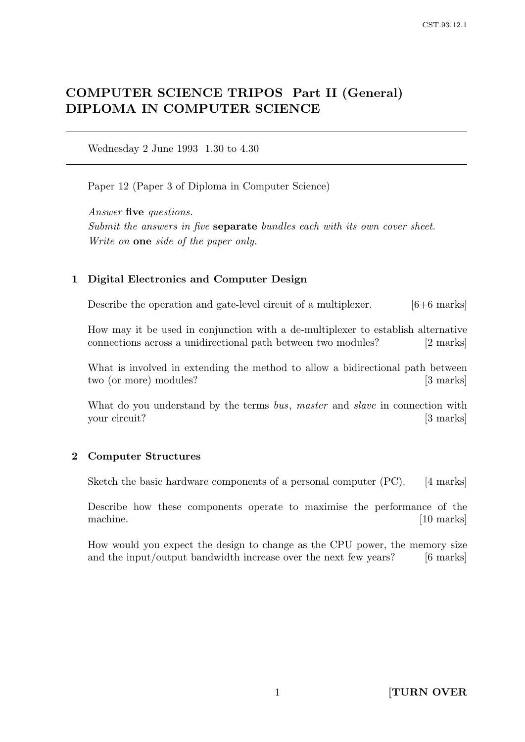# COMPUTER SCIENCE TRIPOS Part II (General) DIPLOMA IN COMPUTER SCIENCE

Wednesday 2 June 1993 1.30 to 4.30

Paper 12 (Paper 3 of Diploma in Computer Science)

Answer five questions. Submit the answers in five **separate** bundles each with its own cover sheet. Write on **one** side of the paper only.

# 1 Digital Electronics and Computer Design

Describe the operation and gate-level circuit of a multiplexer. [6+6 marks]

How may it be used in conjunction with a de-multiplexer to establish alternative connections across a unidirectional path between two modules? [2 marks]

What is involved in extending the method to allow a bidirectional path between two (or more) modules? [3 marks]

What do you understand by the terms bus, master and slave in connection with your circuit? [3 marks]

# 2 Computer Structures

Sketch the basic hardware components of a personal computer (PC). [4 marks]

Describe how these components operate to maximise the performance of the machine. [10 marks]

How would you expect the design to change as the CPU power, the memory size and the input/output bandwidth increase over the next few years? [6 marks]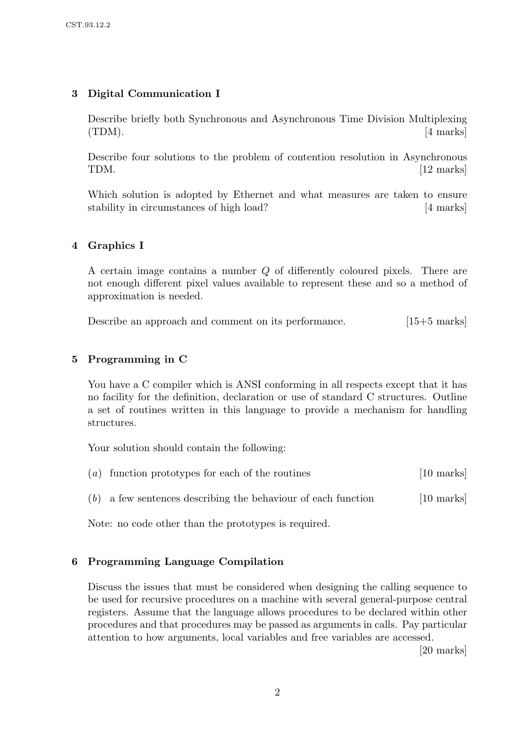# 3 Digital Communication I

Describe briefly both Synchronous and Asynchronous Time Division Multiplexing  $(TDM).$  [4 marks]

Describe four solutions to the problem of contention resolution in Asynchronous TDM. [12 marks]

Which solution is adopted by Ethernet and what measures are taken to ensure stability in circumstances of high load? [4 marks]

## 4 Graphics I

A certain image contains a number Q of differently coloured pixels. There are not enough different pixel values available to represent these and so a method of approximation is needed.

Describe an approach and comment on its performance. [15+5 marks]

## 5 Programming in C

You have a C compiler which is ANSI conforming in all respects except that it has no facility for the definition, declaration or use of standard C structures. Outline a set of routines written in this language to provide a mechanism for handling structures.

Your solution should contain the following:

|  |  | $(a)$ function prototypes for each of the routines | [10 marks] |  |
|--|--|----------------------------------------------------|------------|--|
|--|--|----------------------------------------------------|------------|--|

 $(b)$  a few sentences describing the behaviour of each function [10 marks]

Note: no code other than the prototypes is required.

### 6 Programming Language Compilation

Discuss the issues that must be considered when designing the calling sequence to be used for recursive procedures on a machine with several general-purpose central registers. Assume that the language allows procedures to be declared within other procedures and that procedures may be passed as arguments in calls. Pay particular attention to how arguments, local variables and free variables are accessed.

[20 marks]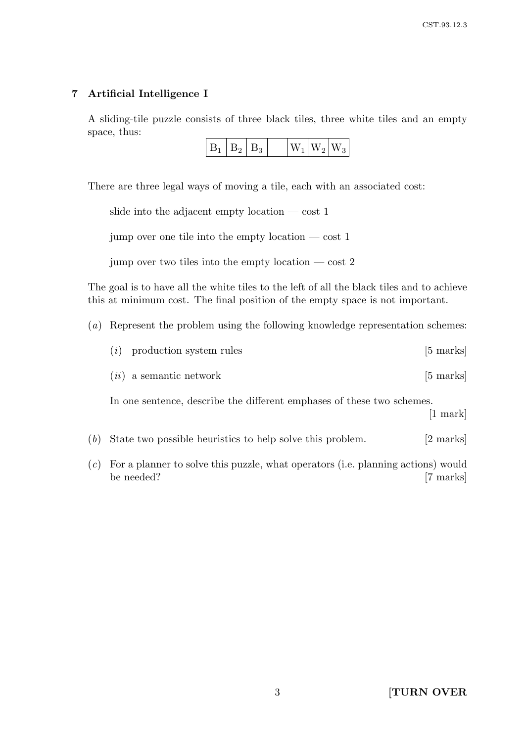# 7 Artificial Intelligence I

A sliding-tile puzzle consists of three black tiles, three white tiles and an empty space, thus:

| $W_1 W_2 W_3$<br>L<br>D., |
|---------------------------|
|---------------------------|

There are three legal ways of moving a tile, each with an associated cost:

|  |  |  | slide into the adjacent empty location $-\cot 1$ |  |
|--|--|--|--------------------------------------------------|--|
|  |  |  |                                                  |  |

jump over one tile into the empty location  $-\cos t$  1

jump over two tiles into the empty location  $-\cos t$  2

The goal is to have all the white tiles to the left of all the black tiles and to achieve this at minimum cost. The final position of the empty space is not important.

(a) Represent the problem using the following knowledge representation schemes:

| $(i)$ production system rules | $[5 \text{ marks}]$ |
|-------------------------------|---------------------|
|                               |                     |

 $(ii)$  a semantic network [5 marks]

In one sentence, describe the different emphases of these two schemes.

[1 mark]

- (b) State two possible heuristics to help solve this problem. [2 marks]
- (c) For a planner to solve this puzzle, what operators (i.e. planning actions) would be needed? [7 marks]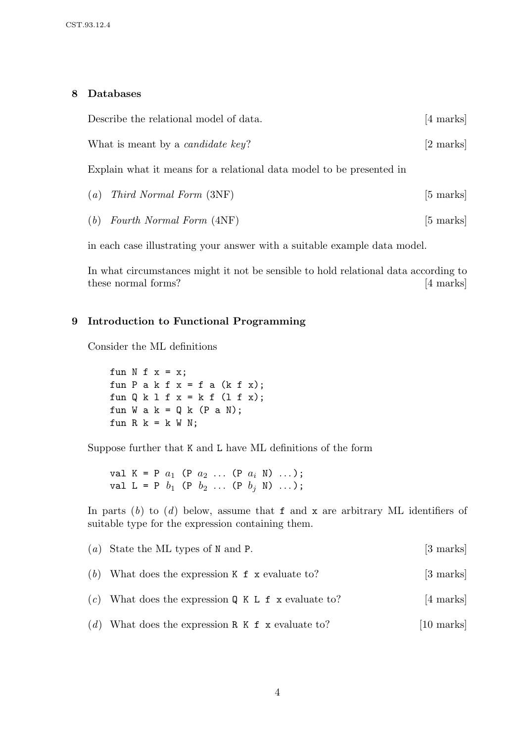### 8 Databases

| Describe the relational model of data.                               | [4 marks]           |  |  |  |
|----------------------------------------------------------------------|---------------------|--|--|--|
| What is meant by a <i>candidate key</i> ?                            | $[2 \text{ marks}]$ |  |  |  |
| Explain what it means for a relational data model to be presented in |                     |  |  |  |
| (a)<br><i>Third Normal Form</i> (3NF)                                | $[5 \text{ marks}]$ |  |  |  |

(b) Fourth Normal Form  $(4NF)$  [5 marks]

in each case illustrating your answer with a suitable example data model.

In what circumstances might it not be sensible to hold relational data according to these normal forms? [4 marks]

## 9 Introduction to Functional Programming

Consider the ML definitions

fun  $N$  f  $x = x$ ; fun P a k f  $x = f$  a (k f  $x$ ); fun  $Q k 1 f x = k f (1 f x);$ fun W a k =  $Q$  k (P a N); fun R  $k = k$  W N;

Suppose further that K and L have ML definitions of the form

val  $K = P a_1 (P a_2 ... (P a_i N) ...);$ val L = P  $b_1$  (P  $b_2$  ... (P  $b_j$  N) ...);

In parts  $(b)$  to  $(d)$  below, assume that f and x are arbitrary ML identifiers of suitable type for the expression containing them.

| (a) State the ML types of N and P.                    | [3 marks]            |
|-------------------------------------------------------|----------------------|
| (b) What does the expression $K$ f x evaluate to?     | $[3 \text{ marks}]$  |
| (c) What does the expression $Q K L f x$ evaluate to? | [4 marks]            |
| (d) What does the expression R $K$ f x evaluate to?   | $[10 \text{ marks}]$ |